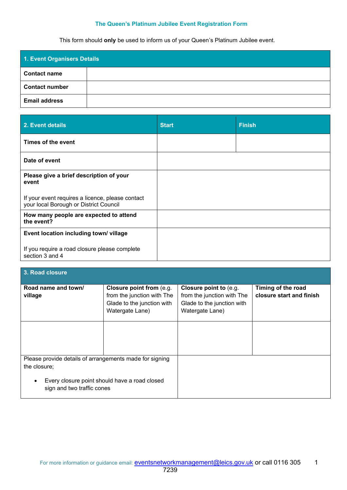## **The Queen's Platinum Jubilee Event Registration Form**

This form should **only** be used to inform us of your Queen's Platinum Jubilee event.

| 1. Event Organisers Details |  |
|-----------------------------|--|
| <b>Contact name</b>         |  |
| <b>Contact number</b>       |  |
| <b>Email address</b>        |  |

| 2. Event details                                                                           | <b>Start</b> | <b>Finish</b> |
|--------------------------------------------------------------------------------------------|--------------|---------------|
| Times of the event                                                                         |              |               |
| Date of event                                                                              |              |               |
| Please give a brief description of your<br>event                                           |              |               |
| If your event requires a licence, please contact<br>your local Borough or District Council |              |               |
| How many people are expected to attend<br>the event?                                       |              |               |
| Event location including town/village                                                      |              |               |
| If you require a road closure please complete<br>section 3 and 4                           |              |               |

| 3. Road closure                                                                                                                                                     |                                                                                                                |                                                                                                       |                                                |
|---------------------------------------------------------------------------------------------------------------------------------------------------------------------|----------------------------------------------------------------------------------------------------------------|-------------------------------------------------------------------------------------------------------|------------------------------------------------|
| Road name and town/<br>village                                                                                                                                      | <b>Closure point from (e.g.</b><br>from the junction with The<br>Glade to the junction with<br>Watergate Lane) | Closure point to (e.g.<br>from the junction with The<br>Glade to the junction with<br>Watergate Lane) | Timing of the road<br>closure start and finish |
|                                                                                                                                                                     |                                                                                                                |                                                                                                       |                                                |
| Please provide details of arrangements made for signing<br>the closure;<br>Every closure point should have a road closed<br>$\bullet$<br>sign and two traffic cones |                                                                                                                |                                                                                                       |                                                |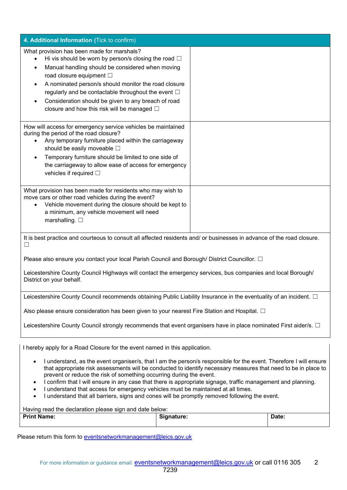| 4. Additional Information (Tick to confirm)                                                                                                                                                                                                                                                                                                                                                                                                                                                                                                                                                                                                            |  |  |
|--------------------------------------------------------------------------------------------------------------------------------------------------------------------------------------------------------------------------------------------------------------------------------------------------------------------------------------------------------------------------------------------------------------------------------------------------------------------------------------------------------------------------------------------------------------------------------------------------------------------------------------------------------|--|--|
| What provision has been made for marshals?<br>Hi vis should be worn by person/s closing the road $\Box$<br>٠<br>Manual handling should be considered when moving<br>$\bullet$<br>road closure equipment □<br>A nominated person/s should monitor the road closure<br>$\bullet$<br>regularly and be contactable throughout the event $\Box$<br>Consideration should be given to any breach of road<br>$\bullet$<br>closure and how this risk will be managed $\Box$                                                                                                                                                                                     |  |  |
| How will access for emergency service vehicles be maintained<br>during the period of the road closure?<br>Any temporary furniture placed within the carriageway<br>$\bullet$<br>should be easily moveable $\square$<br>Temporary furniture should be limited to one side of<br>$\bullet$<br>the carriageway to allow ease of access for emergency<br>vehicles if required $\square$                                                                                                                                                                                                                                                                    |  |  |
| What provision has been made for residents who may wish to<br>move cars or other road vehicles during the event?<br>Vehicle movement during the closure should be kept to<br>a minimum, any vehicle movement will need<br>marshalling. $\square$                                                                                                                                                                                                                                                                                                                                                                                                       |  |  |
| It is best practice and courteous to consult all affected residents and/ or businesses in advance of the road closure.<br>$\Box$                                                                                                                                                                                                                                                                                                                                                                                                                                                                                                                       |  |  |
| Please also ensure you contact your local Parish Council and Borough/ District Councillor. □                                                                                                                                                                                                                                                                                                                                                                                                                                                                                                                                                           |  |  |
| Leicestershire County Council Highways will contact the emergency services, bus companies and local Borough/<br>District on your behalf.                                                                                                                                                                                                                                                                                                                                                                                                                                                                                                               |  |  |
| Leicestershire County Council recommends obtaining Public Liability Insurance in the eventuality of an incident. $\Box$                                                                                                                                                                                                                                                                                                                                                                                                                                                                                                                                |  |  |
| Also please ensure consideration has been given to your nearest Fire Station and Hospital. $\square$                                                                                                                                                                                                                                                                                                                                                                                                                                                                                                                                                   |  |  |
| Leicestershire County Council strongly recommends that event organisers have in place nominated First aider/s. $\Box$                                                                                                                                                                                                                                                                                                                                                                                                                                                                                                                                  |  |  |
| I hereby apply for a Road Closure for the event named in this application.                                                                                                                                                                                                                                                                                                                                                                                                                                                                                                                                                                             |  |  |
| I understand, as the event organiser/s, that I am the person/s responsible for the event. Therefore I will ensure<br>$\bullet$<br>that appropriate risk assessments will be conducted to identify necessary measures that need to be in place to<br>prevent or reduce the risk of something occurring during the event.<br>I confirm that I will ensure in any case that there is appropriate signage, traffic management and planning.<br>$\bullet$<br>I understand that access for emergency vehicles must be maintained at all times.<br>$\bullet$<br>I understand that all barriers, signs and cones will be promptly removed following the event. |  |  |

| Having read the declaration please sign and date below: |  |  |
|---------------------------------------------------------|--|--|
|                                                         |  |  |

| <b>Print Name:</b> | $\sim$ $\sim$<br>ianature:<br>. <b>. .</b> | υαισ.<br>$- - - -$ |
|--------------------|--------------------------------------------|--------------------|
|                    |                                            |                    |

Please return this form to [eventsnetworkmanagement@leics.gov.uk](mailto:eventsnetworkmanagement@leics.gov.uk)